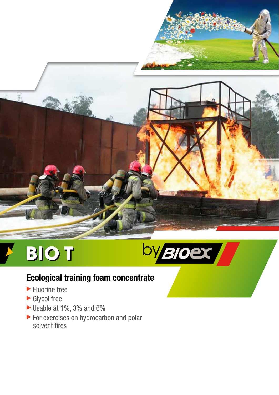

# **BIOT**



## **Ecological training foam concentrate**

- **Fluorine free**
- Glycol free
- Usable at 1%, 3% and 6%
- For exercises on hydrocarbon and polar solvent fires